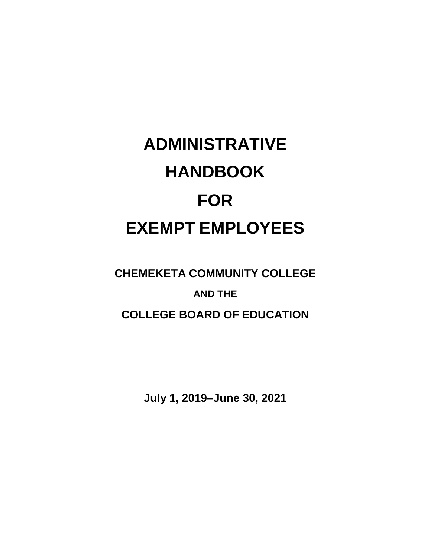# **ADMINISTRATIVE HANDBOOK FOR EXEMPT EMPLOYEES**

## **CHEMEKETA COMMUNITY COLLEGE AND THE COLLEGE BOARD OF EDUCATION**

**July 1, 2019–June 30, 2021**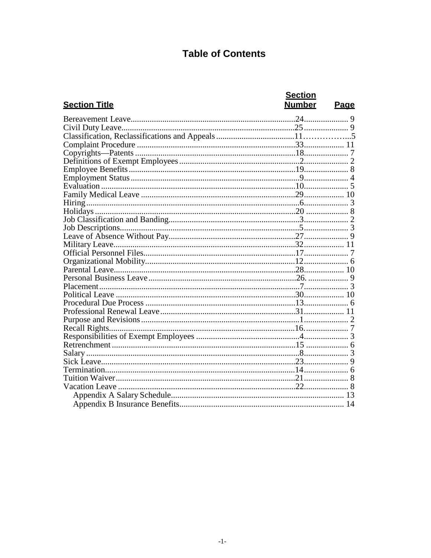### **Table of Contents**

| <b>Section Title</b> | <b>Section</b><br><b>Number</b> | <b>Page</b> |
|----------------------|---------------------------------|-------------|
|                      |                                 |             |
|                      |                                 |             |
|                      |                                 |             |
|                      |                                 |             |
|                      |                                 |             |
|                      |                                 |             |
|                      |                                 |             |
|                      |                                 |             |
|                      |                                 |             |
|                      |                                 |             |
|                      |                                 |             |
|                      |                                 |             |
|                      |                                 |             |
|                      |                                 |             |
|                      |                                 |             |
|                      |                                 |             |
|                      |                                 |             |
|                      |                                 |             |
|                      |                                 |             |
|                      |                                 |             |
|                      |                                 |             |
|                      |                                 |             |
|                      |                                 |             |
|                      |                                 |             |
|                      |                                 |             |
|                      |                                 |             |
|                      |                                 |             |
|                      |                                 |             |
|                      |                                 |             |
|                      |                                 |             |
|                      |                                 |             |
|                      |                                 |             |
|                      |                                 |             |
|                      |                                 |             |
|                      |                                 |             |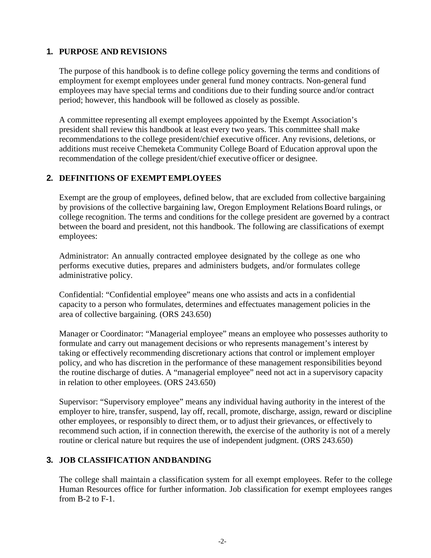#### **1. PURPOSE AND REVISIONS**

The purpose of this handbook is to define college policy governing the terms and conditions of employment for exempt employees under general fund money contracts. Non-general fund employees may have special terms and conditions due to their funding source and/or contract period; however, this handbook will be followed as closely as possible.

A committee representing all exempt employees appointed by the Exempt Association's president shall review this handbook at least every two years. This committee shall make recommendations to the college president/chief executive officer. Any revisions, deletions, or additions must receive Chemeketa Community College Board of Education approval upon the recommendation of the college president/chief executive officer or designee.

#### **2. DEFINITIONS OF EXEMPTEMPLOYEES**

Exempt are the group of employees, defined below, that are excluded from collective bargaining by provisions of the collective bargaining law, Oregon Employment Relations Board rulings, or college recognition. The terms and conditions for the college president are governed by a contract between the board and president, not this handbook. The following are classifications of exempt employees:

Administrator: An annually contracted employee designated by the college as one who performs executive duties, prepares and administers budgets, and/or formulates college administrative policy.

Confidential: "Confidential employee" means one who assists and acts in a confidential capacity to a person who formulates, determines and effectuates management policies in the area of collective bargaining. (ORS 243.650)

Manager or Coordinator: "Managerial employee" means an employee who possesses authority to formulate and carry out management decisions or who represents management's interest by taking or effectively recommending discretionary actions that control or implement employer policy, and who has discretion in the performance of these management responsibilities beyond the routine discharge of duties. A "managerial employee" need not act in a supervisory capacity in relation to other employees. (ORS 243.650)

Supervisor: "Supervisory employee" means any individual having authority in the interest of the employer to hire, transfer, suspend, lay off, recall, promote, discharge, assign, reward or discipline other employees, or responsibly to direct them, or to adjust their grievances, or effectively to recommend such action, if in connection therewith, the exercise of the authority is not of a merely routine or clerical nature but requires the use of independent judgment. (ORS 243.650)

#### **3. JOB CLASSIFICATION ANDBANDING**

The college shall maintain a classification system for all exempt employees. Refer to the college Human Resources office for further information. Job classification for exempt employees ranges from  $B-2$  to  $F-1$ .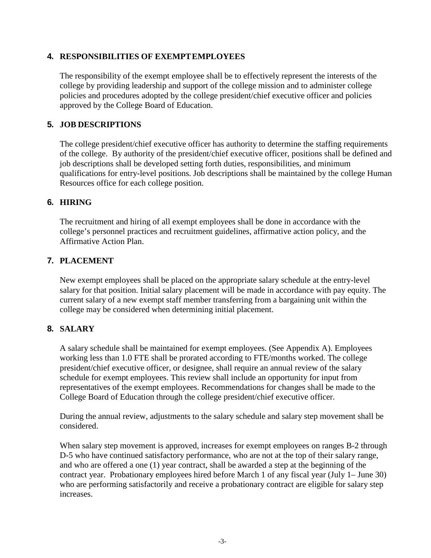#### **4. RESPONSIBILITIES OF EXEMPTEMPLOYEES**

The responsibility of the exempt employee shall be to effectively represent the interests of the college by providing leadership and support of the college mission and to administer college policies and procedures adopted by the college president/chief executive officer and policies approved by the College Board of Education.

#### **5. JOB DESCRIPTIONS**

The college president/chief executive officer has authority to determine the staffing requirements of the college. By authority of the president/chief executive officer, positions shall be defined and job descriptions shall be developed setting forth duties, responsibilities, and minimum qualifications for entry-level positions. Job descriptions shall be maintained by the college Human Resources office for each college position.

#### **6. HIRING**

The recruitment and hiring of all exempt employees shall be done in accordance with the college's personnel practices and recruitment guidelines, affirmative action policy, and the Affirmative Action Plan.

#### **7. PLACEMENT**

New exempt employees shall be placed on the appropriate salary schedule at the entry-level salary for that position. Initial salary placement will be made in accordance with pay equity. The current salary of a new exempt staff member transferring from a bargaining unit within the college may be considered when determining initial placement.

#### **8. SALARY**

A salary schedule shall be maintained for exempt employees. (See Appendix A). Employees working less than 1.0 FTE shall be prorated according to FTE/months worked. The college president/chief executive officer, or designee, shall require an annual review of the salary schedule for exempt employees. This review shall include an opportunity for input from representatives of the exempt employees. Recommendations for changes shall be made to the College Board of Education through the college president/chief executive officer.

During the annual review, adjustments to the salary schedule and salary step movement shall be considered.

When salary step movement is approved, increases for exempt employees on ranges B-2 through D-5 who have continued satisfactory performance, who are not at the top of their salary range, and who are offered a one (1) year contract, shall be awarded a step at the beginning of the contract year. Probationary employees hired before March 1 of any fiscal year (July 1– June 30) who are performing satisfactorily and receive a probationary contract are eligible for salary step increases.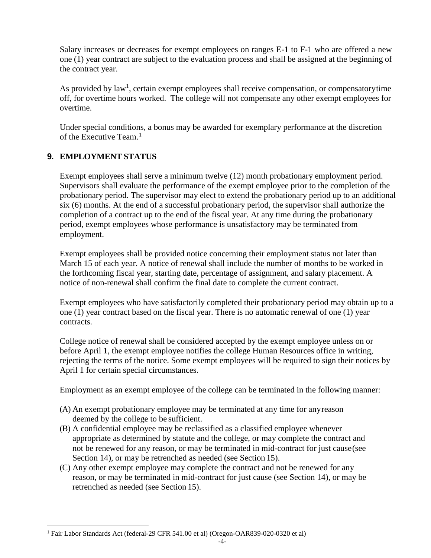Salary increases or decreases for exempt employees on ranges E-1 to F-1 who are offered a new one (1) year contract are subject to the evaluation process and shall be assigned at the beginning of the contract year.

As provided by law<sup>1</sup>, certain exempt employees shall receive compensation, or compensatorytime off, for overtime hours worked. The college will not compensate any other exempt employees for overtime.

Under special conditions, a bonus may be awarded for exemplary performance at the discretion of the Executive Team.<sup>[1](#page-4-0)</sup>

#### **9. EMPLOYMENT STATUS**

Exempt employees shall serve a minimum twelve (12) month probationary employment period. Supervisors shall evaluate the performance of the exempt employee prior to the completion of the probationary period. The supervisor may elect to extend the probationary period up to an additional six (6) months. At the end of a successful probationary period, the supervisor shall authorize the completion of a contract up to the end of the fiscal year. At any time during the probationary period, exempt employees whose performance is unsatisfactory may be terminated from employment.

Exempt employees shall be provided notice concerning their employment status not later than March 15 of each year. A notice of renewal shall include the number of months to be worked in the forthcoming fiscal year, starting date, percentage of assignment, and salary placement. A notice of non-renewal shall confirm the final date to complete the current contract.

Exempt employees who have satisfactorily completed their probationary period may obtain up to a one (1) year contract based on the fiscal year. There is no automatic renewal of one (1) year contracts.

College notice of renewal shall be considered accepted by the exempt employee unless on or before April 1, the exempt employee notifies the college Human Resources office in writing, rejecting the terms of the notice. Some exempt employees will be required to sign their notices by April 1 for certain special circumstances.

Employment as an exempt employee of the college can be terminated in the following manner:

- (A) An exempt probationary employee may be terminated at any time for anyreason deemed by the college to be sufficient.
- (B) A confidential employee may be reclassified as a classified employee whenever appropriate as determined by statute and the college, or may complete the contract and not be renewed for any reason, or may be terminated in mid-contract for just cause(see Section 14), or may be retrenched as needed (see Section 15).
- (C) Any other exempt employee may complete the contract and not be renewed for any reason, or may be terminated in mid-contract for just cause (see Section 14), or may be retrenched as needed (see Section 15).

<span id="page-4-0"></span><sup>&</sup>lt;sup>1</sup> Fair Labor Standards Act (federal-29 CFR 541.00 et al) (Oregon-OAR839-020-0320 et al)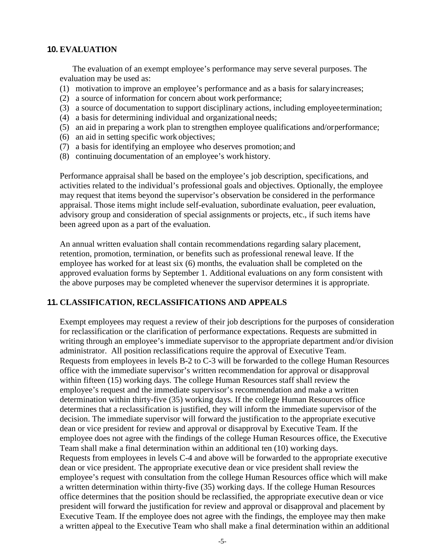#### **10. EVALUATION**

The evaluation of an exempt employee's performance may serve several purposes. The evaluation may be used as:

- (1) motivation to improve an employee's performance and as a basis for salaryincreases;
- (2) a source of information for concern about work performance;
- (3) a source of documentation to support disciplinary actions, including employeetermination;
- (4) a basis for determining individual and organizational needs;
- (5) an aid in preparing a work plan to strengthen employee qualifications and/orperformance;
- (6) an aid in setting specific work objectives;
- (7) a basis for identifying an employee who deserves promotion; and
- (8) continuing documentation of an employee's work history.

Performance appraisal shall be based on the employee's job description, specifications, and activities related to the individual's professional goals and objectives. Optionally, the employee may request that items beyond the supervisor's observation be considered in the performance appraisal. Those items might include self-evaluation, subordinate evaluation, peer evaluation, advisory group and consideration of special assignments or projects, etc., if such items have been agreed upon as a part of the evaluation.

An annual written evaluation shall contain recommendations regarding salary placement, retention, promotion, termination, or benefits such as professional renewal leave. If the employee has worked for at least six (6) months, the evaluation shall be completed on the approved evaluation forms by September 1. Additional evaluations on any form consistent with the above purposes may be completed whenever the supervisor determines it is appropriate.

#### **11. CLASSIFICATION, RECLASSIFICATIONS AND APPEALS**

Exempt employees may request a review of their job descriptions for the purposes of consideration for reclassification or the clarification of performance expectations. Requests are submitted in writing through an employee's immediate supervisor to the appropriate department and/or division administrator. All position reclassifications require the approval of Executive Team. Requests from employees in levels B-2 to C-3 will be forwarded to the college Human Resources office with the immediate supervisor's written recommendation for approval or disapproval within fifteen (15) working days. The college Human Resources staff shall review the employee's request and the immediate supervisor's recommendation and make a written determination within thirty-five (35) working days. If the college Human Resources office determines that a reclassification is justified, they will inform the immediate supervisor of the decision. The immediate supervisor will forward the justification to the appropriate executive dean or vice president for review and approval or disapproval by Executive Team. If the employee does not agree with the findings of the college Human Resources office, the Executive Team shall make a final determination within an additional ten (10) working days. Requests from employees in levels C-4 and above will be forwarded to the appropriate executive dean or vice president. The appropriate executive dean or vice president shall review the employee's request with consultation from the college Human Resources office which will make a written determination within thirty-five (35) working days. If the college Human Resources office determines that the position should be reclassified, the appropriate executive dean or vice president will forward the justification for review and approval or disapproval and placement by Executive Team. If the employee does not agree with the findings, the employee may then make a written appeal to the Executive Team who shall make a final determination within an additional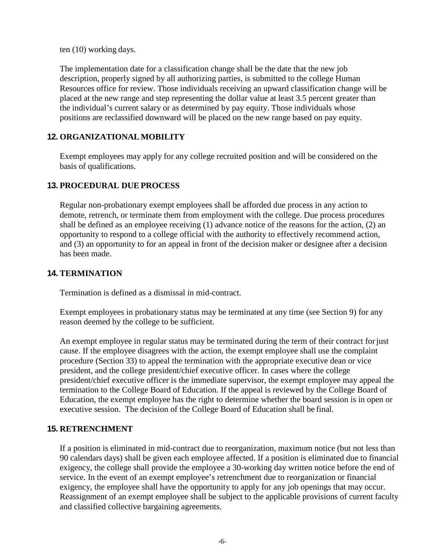ten (10) working days.

The implementation date for a classification change shall be the date that the new job description, properly signed by all authorizing parties, is submitted to the college Human Resources office for review. Those individuals receiving an upward classification change will be placed at the new range and step representing the dollar value at least 3.5 percent greater than the individual's current salary or as determined by pay equity. Those individuals whose positions are reclassified downward will be placed on the new range based on pay equity.

#### **12. ORGANIZATIONAL MOBILITY**

Exempt employees may apply for any college recruited position and will be considered on the basis of qualifications.

#### **13. PROCEDURAL DUE PROCESS**

Regular non-probationary exempt employees shall be afforded due process in any action to demote, retrench, or terminate them from employment with the college. Due process procedures shall be defined as an employee receiving (1) advance notice of the reasons for the action, (2) an opportunity to respond to a college official with the authority to effectively recommend action, and (3) an opportunity to for an appeal in front of the decision maker or designee after a decision has been made.

#### **14. TERMINATION**

Termination is defined as a dismissal in mid-contract.

Exempt employees in probationary status may be terminated at any time (see Section 9) for any reason deemed by the college to be sufficient.

An exempt employee in regular status may be terminated during the term of their contract forjust cause. If the employee disagrees with the action, the exempt employee shall use the complaint procedure (Section 33) to appeal the termination with the appropriate executive dean or vice president, and the college president/chief executive officer. In cases where the college president/chief executive officer is the immediate supervisor, the exempt employee may appeal the termination to the College Board of Education. If the appeal is reviewed by the College Board of Education, the exempt employee has the right to determine whether the board session is in open or executive session. The decision of the College Board of Education shall be final.

#### **15. RETRENCHMENT**

If a position is eliminated in mid-contract due to reorganization, maximum notice (but not less than 90 calendars days) shall be given each employee affected. If a position is eliminated due to financial exigency, the college shall provide the employee a 30-working day written notice before the end of service. In the event of an exempt employee's retrenchment due to reorganization or financial exigency, the employee shall have the opportunity to apply for any job openings that may occur. Reassignment of an exempt employee shall be subject to the applicable provisions of current faculty and classified collective bargaining agreements.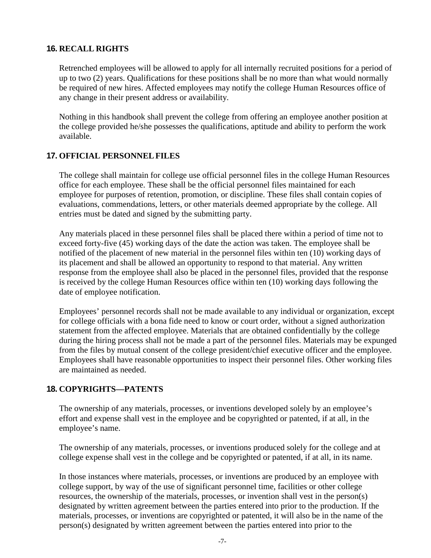#### **16. RECALL RIGHTS**

Retrenched employees will be allowed to apply for all internally recruited positions for a period of up to two (2) years. Qualifications for these positions shall be no more than what would normally be required of new hires. Affected employees may notify the college Human Resources office of any change in their present address or availability.

Nothing in this handbook shall prevent the college from offering an employee another position at the college provided he/she possesses the qualifications, aptitude and ability to perform the work available.

#### **17. OFFICIAL PERSONNELFILES**

The college shall maintain for college use official personnel files in the college Human Resources office for each employee. These shall be the official personnel files maintained for each employee for purposes of retention, promotion, or discipline. These files shall contain copies of evaluations, commendations, letters, or other materials deemed appropriate by the college. All entries must be dated and signed by the submitting party.

Any materials placed in these personnel files shall be placed there within a period of time not to exceed forty-five (45) working days of the date the action was taken. The employee shall be notified of the placement of new material in the personnel files within ten (10) working days of its placement and shall be allowed an opportunity to respond to that material. Any written response from the employee shall also be placed in the personnel files, provided that the response is received by the college Human Resources office within ten (10) working days following the date of employee notification.

Employees' personnel records shall not be made available to any individual or organization, except for college officials with a bona fide need to know or court order, without a signed authorization statement from the affected employee. Materials that are obtained confidentially by the college during the hiring process shall not be made a part of the personnel files. Materials may be expunged from the files by mutual consent of the college president/chief executive officer and the employee. Employees shall have reasonable opportunities to inspect their personnel files. Other working files are maintained as needed.

#### **18. COPYRIGHTS—PATENTS**

The ownership of any materials, processes, or inventions developed solely by an employee's effort and expense shall vest in the employee and be copyrighted or patented, if at all, in the employee's name.

The ownership of any materials, processes, or inventions produced solely for the college and at college expense shall vest in the college and be copyrighted or patented, if at all, in its name.

In those instances where materials, processes, or inventions are produced by an employee with college support, by way of the use of significant personnel time, facilities or other college resources, the ownership of the materials, processes, or invention shall vest in the person(s) designated by written agreement between the parties entered into prior to the production. If the materials, processes, or inventions are copyrighted or patented, it will also be in the name of the person(s) designated by written agreement between the parties entered into prior to the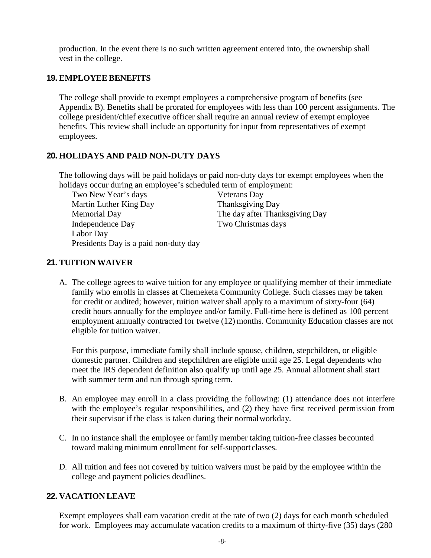production. In the event there is no such written agreement entered into, the ownership shall vest in the college.

#### **19. EMPLOYEE BENEFITS**

The college shall provide to exempt employees a comprehensive program of benefits (see Appendix B). Benefits shall be prorated for employees with less than 100 percent assignments. The college president/chief executive officer shall require an annual review of exempt employee benefits. This review shall include an opportunity for input from representatives of exempt employees.

#### **20. HOLIDAYS AND PAID NON-DUTY DAYS**

The following days will be paid holidays or paid non-duty days for exempt employees when the holidays occur during an employee's scheduled term of employment:

Two New Year's days Veterans Day Martin Luther King Day Thanksgiving Day Memorial Day The day after Thanksgiving Day Independence Day Two Christmas days Labor Day Presidents Day is a paid non-duty day

#### **21. TUITION WAIVER**

A. The college agrees to waive tuition for any employee or qualifying member of their immediate family who enrolls in classes at Chemeketa Community College. Such classes may be taken for credit or audited; however, tuition waiver shall apply to a maximum of sixty-four (64) credit hours annually for the employee and/or family. Full-time here is defined as 100 percent employment annually contracted for twelve (12) months. Community Education classes are not eligible for tuition waiver.

For this purpose, immediate family shall include spouse, children, stepchildren, or eligible domestic partner. Children and stepchildren are eligible until age 25. Legal dependents who meet the IRS dependent definition also qualify up until age 25. Annual allotment shall start with summer term and run through spring term.

- B. An employee may enroll in a class providing the following: (1) attendance does not interfere with the employee's regular responsibilities, and (2) they have first received permission from their supervisor if the class is taken during their normalworkday.
- C. In no instance shall the employee or family member taking tuition-free classes becounted toward making minimum enrollment for self-support classes.
- D. All tuition and fees not covered by tuition waivers must be paid by the employee within the college and payment policies deadlines.

#### **22. VACATION LEAVE**

Exempt employees shall earn vacation credit at the rate of two (2) days for each month scheduled for work. Employees may accumulate vacation credits to a maximum of thirty-five (35) days (280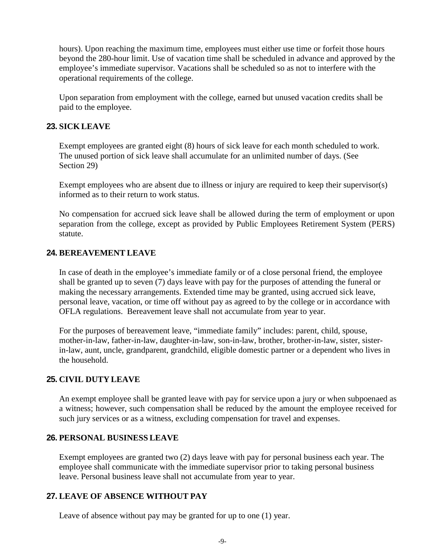hours). Upon reaching the maximum time, employees must either use time or forfeit those hours beyond the 280-hour limit. Use of vacation time shall be scheduled in advance and approved by the employee's immediate supervisor. Vacations shall be scheduled so as not to interfere with the operational requirements of the college.

Upon separation from employment with the college, earned but unused vacation credits shall be paid to the employee.

#### **23. SICK LEAVE**

Exempt employees are granted eight (8) hours of sick leave for each month scheduled to work. The unused portion of sick leave shall accumulate for an unlimited number of days. (See Section 29)

Exempt employees who are absent due to illness or injury are required to keep their supervisor(s) informed as to their return to work status.

No compensation for accrued sick leave shall be allowed during the term of employment or upon separation from the college, except as provided by Public Employees Retirement System (PERS) statute.

#### **24. BEREAVEMENT LEAVE**

In case of death in the employee's immediate family or of a close personal friend, the employee shall be granted up to seven (7) days leave with pay for the purposes of attending the funeral or making the necessary arrangements. Extended time may be granted, using accrued sick leave, personal leave, vacation, or time off without pay as agreed to by the college or in accordance with OFLA regulations. Bereavement leave shall not accumulate from year to year.

For the purposes of bereavement leave, "immediate family" includes: parent, child, spouse, mother-in-law, father-in-law, daughter-in-law, son-in-law, brother, brother-in-law, sister, sisterin-law, aunt, uncle, grandparent, grandchild, eligible domestic partner or a dependent who lives in the household.

#### **25. CIVIL DUTY LEAVE**

An exempt employee shall be granted leave with pay for service upon a jury or when subpoenaed as a witness; however, such compensation shall be reduced by the amount the employee received for such jury services or as a witness, excluding compensation for travel and expenses.

#### **26. PERSONAL BUSINESS LEAVE**

Exempt employees are granted two (2) days leave with pay for personal business each year. The employee shall communicate with the immediate supervisor prior to taking personal business leave. Personal business leave shall not accumulate from year to year.

#### **27. LEAVE OF ABSENCE WITHOUT PAY**

Leave of absence without pay may be granted for up to one (1) year.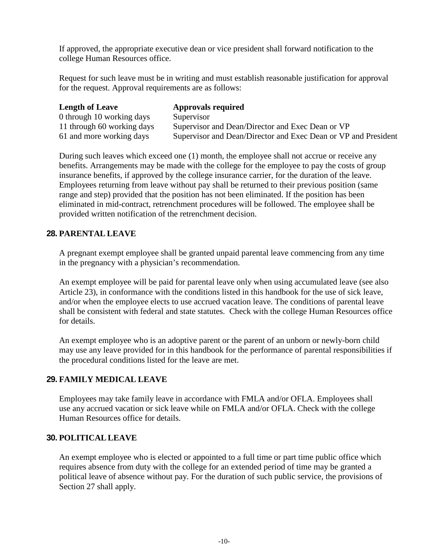If approved, the appropriate executive dean or vice president shall forward notification to the college Human Resources office.

Request for such leave must be in writing and must establish reasonable justification for approval for the request. Approval requirements are as follows:

| <b>Length of Leave</b>     | <b>Approvals required</b>                                      |
|----------------------------|----------------------------------------------------------------|
| 0 through 10 working days  | Supervisor                                                     |
| 11 through 60 working days | Supervisor and Dean/Director and Exec Dean or VP               |
| 61 and more working days   | Supervisor and Dean/Director and Exec Dean or VP and President |

During such leaves which exceed one (1) month, the employee shall not accrue or receive any benefits. Arrangements may be made with the college for the employee to pay the costs of group insurance benefits, if approved by the college insurance carrier, for the duration of the leave. Employees returning from leave without pay shall be returned to their previous position (same range and step) provided that the position has not been eliminated. If the position has been eliminated in mid-contract, retrenchment procedures will be followed. The employee shall be provided written notification of the retrenchment decision.

#### **28. PARENTAL LEAVE**

A pregnant exempt employee shall be granted unpaid parental leave commencing from any time in the pregnancy with a physician's recommendation.

An exempt employee will be paid for parental leave only when using accumulated leave (see also Article 23), in conformance with the conditions listed in this handbook for the use of sick leave, and/or when the employee elects to use accrued vacation leave. The conditions of parental leave shall be consistent with federal and state statutes. Check with the college Human Resources office for details.

An exempt employee who is an adoptive parent or the parent of an unborn or newly-born child may use any leave provided for in this handbook for the performance of parental responsibilities if the procedural conditions listed for the leave are met.

#### **29. FAMILY MEDICAL LEAVE**

Employees may take family leave in accordance with FMLA and/or OFLA. Employees shall use any accrued vacation or sick leave while on FMLA and/or OFLA. Check with the college Human Resources office for details.

#### **30. POLITICALLEAVE**

An exempt employee who is elected or appointed to a full time or part time public office which requires absence from duty with the college for an extended period of time may be granted a political leave of absence without pay. For the duration of such public service, the provisions of Section 27 shall apply.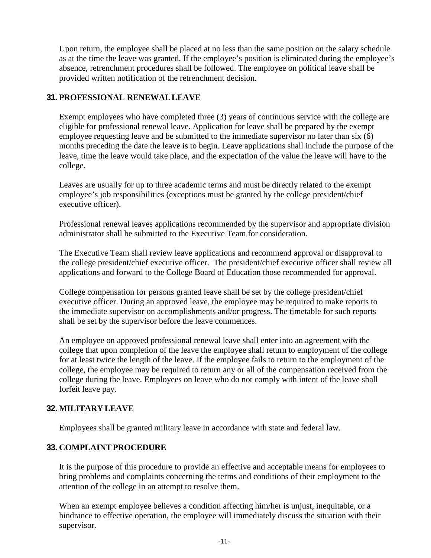Upon return, the employee shall be placed at no less than the same position on the salary schedule as at the time the leave was granted. If the employee's position is eliminated during the employee's absence, retrenchment procedures shall be followed. The employee on political leave shall be provided written notification of the retrenchment decision.

#### **31. PROFESSIONAL RENEWALLEAVE**

Exempt employees who have completed three (3) years of continuous service with the college are eligible for professional renewal leave. Application for leave shall be prepared by the exempt employee requesting leave and be submitted to the immediate supervisor no later than six (6) months preceding the date the leave is to begin. Leave applications shall include the purpose of the leave, time the leave would take place, and the expectation of the value the leave will have to the college.

Leaves are usually for up to three academic terms and must be directly related to the exempt employee's job responsibilities (exceptions must be granted by the college president/chief executive officer).

Professional renewal leaves applications recommended by the supervisor and appropriate division administrator shall be submitted to the Executive Team for consideration.

The Executive Team shall review leave applications and recommend approval or disapproval to the college president/chief executive officer. The president/chief executive officer shall review all applications and forward to the College Board of Education those recommended for approval.

College compensation for persons granted leave shall be set by the college president/chief executive officer. During an approved leave, the employee may be required to make reports to the immediate supervisor on accomplishments and/or progress. The timetable for such reports shall be set by the supervisor before the leave commences.

An employee on approved professional renewal leave shall enter into an agreement with the college that upon completion of the leave the employee shall return to employment of the college for at least twice the length of the leave. If the employee fails to return to the employment of the college, the employee may be required to return any or all of the compensation received from the college during the leave. Employees on leave who do not comply with intent of the leave shall forfeit leave pay.

#### **32. MILITARY LEAVE**

Employees shall be granted military leave in accordance with state and federal law.

#### **33. COMPLAINTPROCEDURE**

It is the purpose of this procedure to provide an effective and acceptable means for employees to bring problems and complaints concerning the terms and conditions of their employment to the attention of the college in an attempt to resolve them.

When an exempt employee believes a condition affecting him/her is unjust, inequitable, or a hindrance to effective operation, the employee will immediately discuss the situation with their supervisor.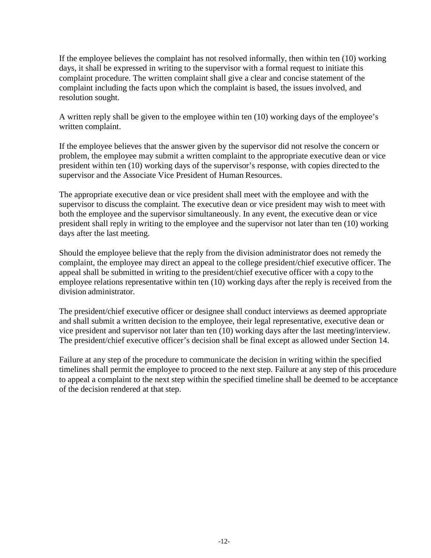If the employee believes the complaint has not resolved informally, then within ten (10) working days, it shall be expressed in writing to the supervisor with a formal request to initiate this complaint procedure. The written complaint shall give a clear and concise statement of the complaint including the facts upon which the complaint is based, the issues involved, and resolution sought.

A written reply shall be given to the employee within ten (10) working days of the employee's written complaint.

If the employee believes that the answer given by the supervisor did not resolve the concern or problem, the employee may submit a written complaint to the appropriate executive dean or vice president within ten (10) working days of the supervisor's response, with copies directed to the supervisor and the Associate Vice President of Human Resources.

The appropriate executive dean or vice president shall meet with the employee and with the supervisor to discuss the complaint. The executive dean or vice president may wish to meet with both the employee and the supervisor simultaneously. In any event, the executive dean or vice president shall reply in writing to the employee and the supervisor not later than ten (10) working days after the last meeting.

Should the employee believe that the reply from the division administrator does not remedy the complaint, the employee may direct an appeal to the college president/chief executive officer. The appeal shall be submitted in writing to the president/chief executive officer with a copy to the employee relations representative within ten (10) working days after the reply is received from the division administrator.

The president/chief executive officer or designee shall conduct interviews as deemed appropriate and shall submit a written decision to the employee, their legal representative, executive dean or vice president and supervisor not later than ten (10) working days after the last meeting/interview. The president/chief executive officer's decision shall be final except as allowed under Section 14.

Failure at any step of the procedure to communicate the decision in writing within the specified timelines shall permit the employee to proceed to the next step. Failure at any step of this procedure to appeal a complaint to the next step within the specified timeline shall be deemed to be acceptance of the decision rendered at that step.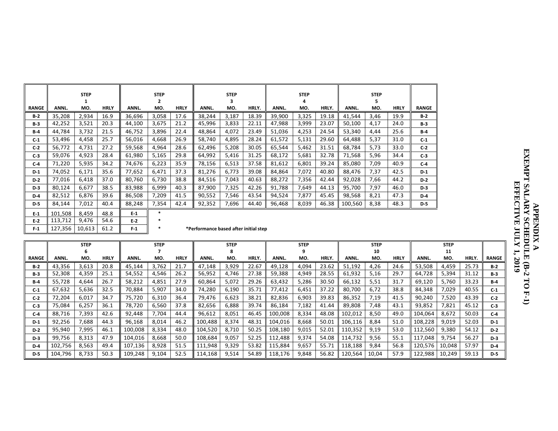|              |         | <b>STEP</b><br><b>STEP</b> |             |        |                                                 | <b>STEP</b> |        |       | <b>STEP</b> |        |       |       |         |      |             |              |
|--------------|---------|----------------------------|-------------|--------|-------------------------------------------------|-------------|--------|-------|-------------|--------|-------|-------|---------|------|-------------|--------------|
|              |         |                            |             |        | 2                                               |             |        | 3     |             |        | 4     |       |         | 5    |             |              |
| <b>RANGE</b> | ANNL.   | MO.                        | <b>HRLY</b> | ANNL.  | MO.                                             | <b>HRLY</b> | ANNL.  | MO.   | HRLY.       | ANNL.  | MO.   | HRLY. | ANNL.   | MO.  | <b>HRLY</b> | <b>RANGE</b> |
| $B-2$        | 35,208  | 2,934                      | 16.9        | 36,696 | 3,058                                           | 17.6        | 38,244 | 3,187 | 18.39       | 39,900 | 3,325 | 19.18 | 41,544  | 3,46 | 19.9        | $B-2$        |
| $B-3$        | 42,252  | 3,521                      | 20.3        | 44,100 | 3,675                                           | 21.2        | 45,996 | 3,833 | 22.11       | 47,988 | 3,999 | 23.07 | 50,100  | 4,17 | 24.0        | $B-3$        |
| $B-4$        | 44,784  | 3,732                      | 21.5        | 46,752 | 3,896                                           | 22.4        | 48,864 | 4,072 | 23.49       | 51,036 | 4,253 | 24.54 | 53,340  | 4,44 | 25.6        | $B-4$        |
| $C-1$        | 53,496  | 4,458                      | 25.7        | 56,016 | 4,668                                           | 26.9        | 58,740 | 4,895 | 28.24       | 61,572 | 5,131 | 29.60 | 64,488  | 5,37 | 31.0        | $C-1$        |
| $C-2$        | 56,772  | 4,731                      | 27.2        | 59,568 | 4,964                                           | 28.6        | 62,496 | 5,208 | 30.05       | 65,544 | 5,462 | 31.51 | 68,784  | 5,73 | 33.0        | $C-2$        |
| $C-3$        | 59,076  | 4,923                      | 28.4        | 61,980 | 5,165                                           | 29.8        | 64,992 | 5,416 | 31.25       | 68,172 | 5,681 | 32.78 | 71,568  | 5,96 | 34.4        | $C-3$        |
| $C-4$        | 71,220  | 5,935                      | 34.2        | 74,676 | 6,223                                           | 35.9        | 78,156 | 6,513 | 37.58       | 81,612 | 6,801 | 39.24 | 85,080  | 7,09 | 40.9        | $C-4$        |
| $D-1$        | 74,052  | 6,171                      | 35.6        | 77,652 | 6,471                                           | 37.3        | 81,276 | 6,773 | 39.08       | 84,864 | 7,072 | 40.80 | 88,476  | 7,37 | 42.5        | $D-1$        |
| $D-2$        | 77,016  | 6,418                      | 37.0        | 80,760 | 6,730                                           | 38.8        | 84,516 | 7,043 | 40.63       | 88,272 | 7,356 | 42.44 | 92,028  | 7,66 | 44.2        | $D-2$        |
| $D-3$        | 80,124  | 6,677                      | 38.5        | 83,988 | 6,999                                           | 40.3        | 87,900 | 7,325 | 42.26       | 91,788 | 7,649 | 44.13 | 95,700  | 7,97 | 46.0        | $D-3$        |
| $D-4$        | 82,512  | 6,876                      | 39.6        | 86,508 | 7,209                                           | 41.5        | 90,552 | 7,546 | 43.54       | 94,524 | 7,877 | 45.45 | 98,568  | 8,21 | 47.3        | $D-4$        |
| $D-5$        | 84,144  | 7,012                      | 40.4        | 88,248 | 7,354                                           | 42.4        | 92,352 | 7,696 | 44.40       | 96,468 | 8,039 | 46.38 | 100,560 | 8,38 | 48.3        | D-5          |
| $E-1$        | 101,508 | 8,459                      | 48.8        | $E-1$  | $\ast$                                          |             |        |       |             |        |       |       |         |      |             |              |
| $E-2$        | 113,712 | 9,476                      | 54.6        | $E-2$  | $\ast$                                          |             |        |       |             |        |       |       |         |      |             |              |
| $F-1$        | 127356  | 10.613                     | 61 2        | $F-1$  | $\ast$<br>*Performance hased after initial sten |             |        |       |             |        |       |       |         |      |             |              |

| F.J | 113.712          | 9.476 | 54.6 |
|-----|------------------|-------|------|
|     | 127.356   10.613 |       | 61 2 |
|     |                  |       |      |

**F - 1**

**\* \*Performance based after initialstep**

|              |         | <b>STEP</b> |             |         | <b>STEP</b> |             |         | <b>STEP</b> |       |         | <b>STEP</b> |       |         | <b>STEP</b> |             |         | <b>STEP</b> |       |              |
|--------------|---------|-------------|-------------|---------|-------------|-------------|---------|-------------|-------|---------|-------------|-------|---------|-------------|-------------|---------|-------------|-------|--------------|
|              |         |             |             |         |             |             |         |             |       |         |             |       |         | 10          |             |         | 11          |       |              |
| <b>RANGE</b> | ANNL.   | MO.         | <b>HRLY</b> | ANNL.   | MO.         | <b>HRLY</b> | ANNL.   | MO.         | HRLY. | ANNL.   | MO.         | HRLY. | ANNL.   | MO.         | <b>HRLY</b> | ANNL.   | MO.         | HRLY. | <b>RANGE</b> |
| $B-2$        | 43,356  | 3,613       | 20.8        | 45.144  | 3,762       | 21.7        | 47,148  | 3,929       | 22.67 | 49,128  | 4,094       | 23.62 | 51,192  | 4,26        | 24.6        | 53,508  | 4,459       | 25.73 | $B-2$        |
| $B-3$        | 52,308  | 4,359       | 25.1        | 54,552  | 4,546       | 26.2        | 56,952  | 4,746       | 27.38 | 59,388  | 4,949       | 28.55 | 61,932  | 5,16        | 29.7        | 64,728  | 5,394       | 31.12 | $B-3$        |
| $B-4$        | 55,728  | 4,644       | 26.7        | 58,212  | 4,851       | 27.9        | 60,864  | 5,072       | 29.26 | 63,432  | 5,286       | 30.50 | 66,132  | 5,51        | 31.7        | 69,120  | 5,760       | 33.23 | $B-4$        |
| $C-1$        | 67,632  | 5,636       | 32.5        | 70,884  | 5,907       | 34.0        | 74,280  | 6,190       | 35.71 | 77,412  | 6,451       | 37.22 | 80,700  | 6,72        | 38.8        | 84,348  | 7,029       | 40.55 | $C-1$        |
| $C-2$        | 72,204  | 6,017       | 34.7        | 75,720  | 6,310       | 36.4        | 79,476  | 6,623       | 38.21 | 82,836  | 6,903       | 39.83 | 86,352  | 7,19        | 41.5        | 90,240  | 7,520       | 43.39 | $C-2$        |
| $C-3$        | 75,084  | 6,257       | 36.1        | 78,720  | 6,560       | 37.8        | 82,656  | 6,888       | 39.74 | 86,184  | 7,182       | 41.44 | 89,808  | 7,48        | 43.1        | 93,852  | 7,821       | 45.12 | $C-3$        |
| $C-4$        | 88,716  | 7,393       | 42.6        | 92,448  | 7,704       | 44.4        | 96,612  | 8,051       | 46.45 | 100,008 | 8,334       | 48.08 | 102,012 | 8,50        | 49.0        | 104,064 | 8,672       | 50.03 | $C-4$        |
| $D-1$        | 92,256  | 7,688       | 44.3        | 96,168  | 8,014       | 46.2        | 100,488 | 8,374       | 48.31 | 104,016 | 8,668       | 50.01 | 106,116 | 8,84        | 51.0        | 108,228 | 9,019       | 52.03 | $D-1$        |
| $D-2$        | 95,940  | 7,995       | 46.1        | 100,008 | 8,334       | 48.0        | 104,520 | 8,710       | 50.25 | 108,180 | 9,015       | 52.01 | 110,352 | 9,19        | 53.0        | 112,560 | 9,380       | 54.12 | $D-2$        |
| $D-3$        | 99,756  | 8,313       | 47.9        | 104,016 | 8,668       | 50.0        | 108,684 | 9,057       | 52.25 | 112,488 | 9,374       | 54.08 | 114,732 | 9,56        | 55.1        | 117,048 | 9,754       | 56.27 | $D-3$        |
| $D-4$        | 102,756 | 8,563       | 49.4        | 107,136 | 8,928       | 51.5        | 111,948 | 9,329       | 53.82 | 115,884 | 9,657       | 55.71 | 118,188 | 9,84        | 56.8        | 120,576 | 10,048      | 57.97 | $D-4$        |
| D-5          | 104,796 | 8,733       | 50.3        | 109,248 | 9,104       | 52.5        | 114,168 | 9,514       | 54.89 | 118,176 | 9,848       | 56.82 | 120,564 | 10,04       | 57.9        | 122,988 | 10,249      | 59.13 | D-5          |